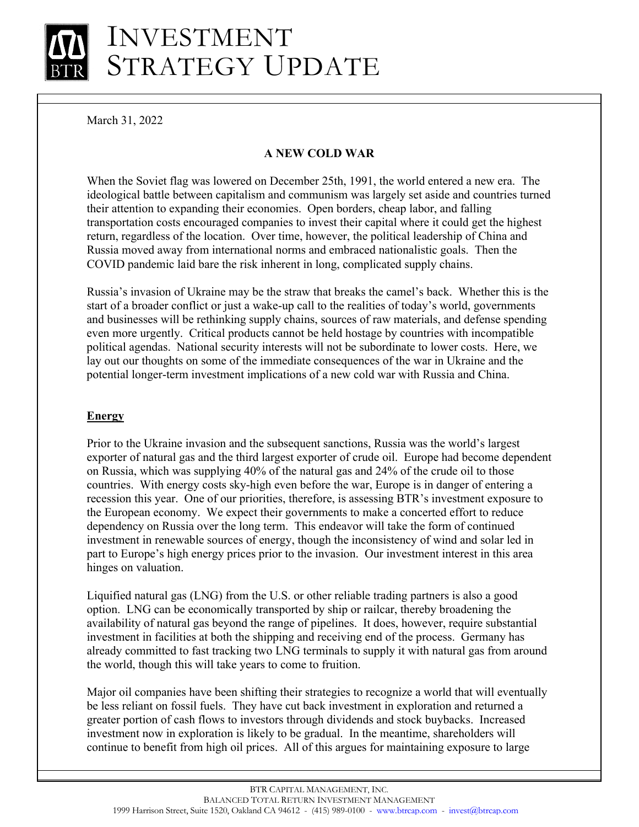# INVESTMENT STRATEGY UPDATE

March 31, 2022

# **A NEW COLD WAR**

When the Soviet flag was lowered on December 25th, 1991, the world entered a new era. The ideological battle between capitalism and communism was largely set aside and countries turned their attention to expanding their economies. Open borders, cheap labor, and falling transportation costs encouraged companies to invest their capital where it could get the highest return, regardless of the location. Over time, however, the political leadership of China and Russia moved away from international norms and embraced nationalistic goals. Then the COVID pandemic laid bare the risk inherent in long, complicated supply chains.

Russia's invasion of Ukraine may be the straw that breaks the camel's back. Whether this is the start of a broader conflict or just a wake-up call to the realities of today's world, governments and businesses will be rethinking supply chains, sources of raw materials, and defense spending even more urgently. Critical products cannot be held hostage by countries with incompatible political agendas. National security interests will not be subordinate to lower costs. Here, we lay out our thoughts on some of the immediate consequences of the war in Ukraine and the potential longer-term investment implications of a new cold war with Russia and China.

# **Energy**

Prior to the Ukraine invasion and the subsequent sanctions, Russia was the world's largest exporter of natural gas and the third largest exporter of crude oil. Europe had become dependent on Russia, which was supplying 40% of the natural gas and 24% of the crude oil to those countries. With energy costs sky-high even before the war, Europe is in danger of entering a recession this year. One of our priorities, therefore, is assessing BTR's investment exposure to the European economy. We expect their governments to make a concerted effort to reduce dependency on Russia over the long term. This endeavor will take the form of continued investment in renewable sources of energy, though the inconsistency of wind and solar led in part to Europe's high energy prices prior to the invasion. Our investment interest in this area hinges on valuation.

Liquified natural gas (LNG) from the U.S. or other reliable trading partners is also a good option. LNG can be economically transported by ship or railcar, thereby broadening the availability of natural gas beyond the range of pipelines. It does, however, require substantial investment in facilities at both the shipping and receiving end of the process. Germany has already committed to fast tracking two LNG terminals to supply it with natural gas from around the world, though this will take years to come to fruition.

Major oil companies have been shifting their strategies to recognize a world that will eventually be less reliant on fossil fuels. They have cut back investment in exploration and returned a greater portion of cash flows to investors through dividends and stock buybacks. Increased investment now in exploration is likely to be gradual. In the meantime, shareholders will continue to benefit from high oil prices. All of this argues for maintaining exposure to large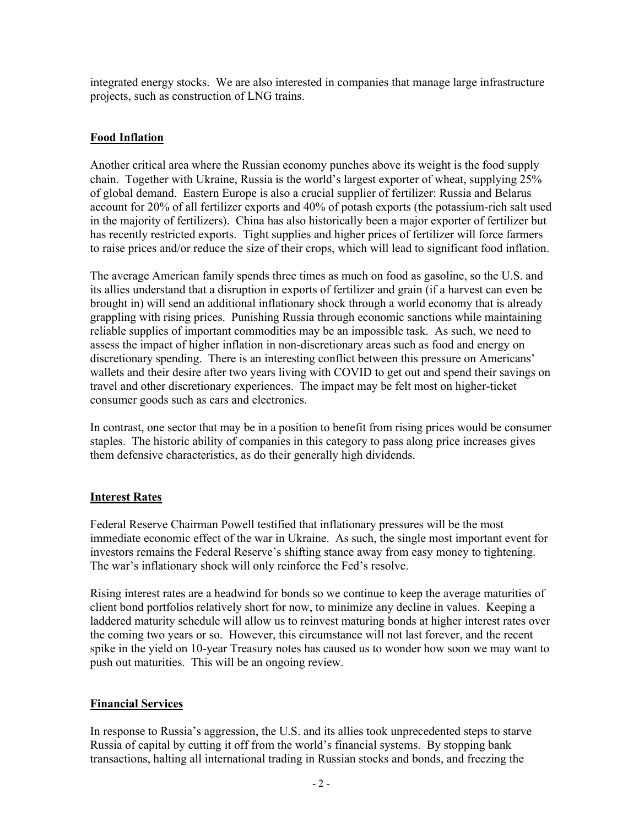integrated energy stocks. We are also interested in companies that manage large infrastructure projects, such as construction of LNG trains.

# **Food Inflation**

Another critical area where the Russian economy punches above its weight is the food supply chain. Together with Ukraine, Russia is the world's largest exporter of wheat, supplying 25% of global demand. Eastern Europe is also a crucial supplier of fertilizer: Russia and Belarus account for 20% of all fertilizer exports and 40% of potash exports (the potassium-rich salt used in the majority of fertilizers). China has also historically been a major exporter of fertilizer but has recently restricted exports. Tight supplies and higher prices of fertilizer will force farmers to raise prices and/or reduce the size of their crops, which will lead to significant food inflation.

The average American family spends three times as much on food as gasoline, so the U.S. and its allies understand that a disruption in exports of fertilizer and grain (if a harvest can even be brought in) will send an additional inflationary shock through a world economy that is already grappling with rising prices. Punishing Russia through economic sanctions while maintaining reliable supplies of important commodities may be an impossible task. As such, we need to assess the impact of higher inflation in non-discretionary areas such as food and energy on discretionary spending. There is an interesting conflict between this pressure on Americans' wallets and their desire after two years living with COVID to get out and spend their savings on travel and other discretionary experiences. The impact may be felt most on higher-ticket consumer goods such as cars and electronics.

In contrast, one sector that may be in a position to benefit from rising prices would be consumer staples. The historic ability of companies in this category to pass along price increases gives them defensive characteristics, as do their generally high dividends.

## **Interest Rates**

Federal Reserve Chairman Powell testified that inflationary pressures will be the most immediate economic effect of the war in Ukraine. As such, the single most important event for investors remains the Federal Reserve's shifting stance away from easy money to tightening. The war's inflationary shock will only reinforce the Fed's resolve.

Rising interest rates are a headwind for bonds so we continue to keep the average maturities of client bond portfolios relatively short for now, to minimize any decline in values. Keeping a laddered maturity schedule will allow us to reinvest maturing bonds at higher interest rates over the coming two years or so. However, this circumstance will not last forever, and the recent spike in the yield on 10-year Treasury notes has caused us to wonder how soon we may want to push out maturities. This will be an ongoing review.

## **Financial Services**

In response to Russia's aggression, the U.S. and its allies took unprecedented steps to starve Russia of capital by cutting it off from the world's financial systems. By stopping bank transactions, halting all international trading in Russian stocks and bonds, and freezing the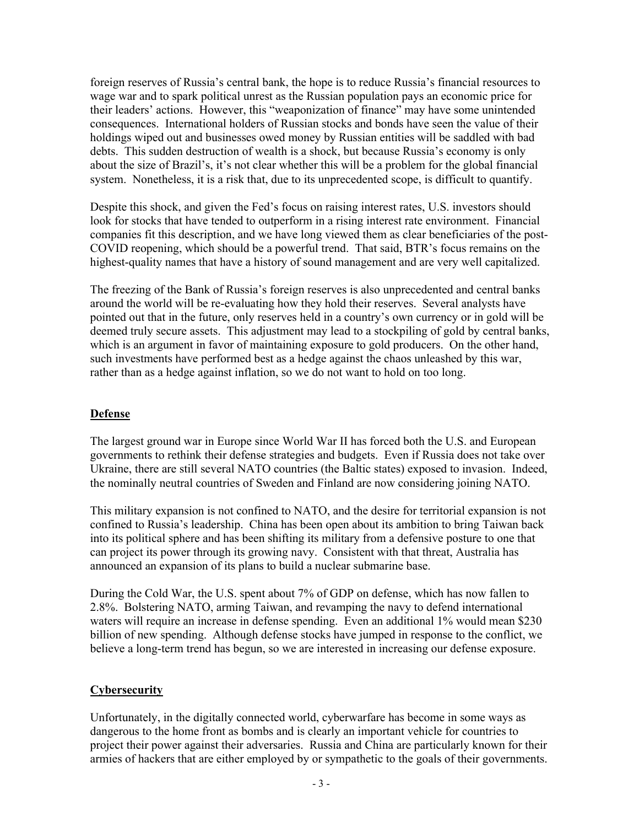foreign reserves of Russia's central bank, the hope is to reduce Russia's financial resources to wage war and to spark political unrest as the Russian population pays an economic price for their leaders' actions. However, this "weaponization of finance" may have some unintended consequences. International holders of Russian stocks and bonds have seen the value of their holdings wiped out and businesses owed money by Russian entities will be saddled with bad debts. This sudden destruction of wealth is a shock, but because Russia's economy is only about the size of Brazil's, it's not clear whether this will be a problem for the global financial system. Nonetheless, it is a risk that, due to its unprecedented scope, is difficult to quantify.

Despite this shock, and given the Fed's focus on raising interest rates, U.S. investors should look for stocks that have tended to outperform in a rising interest rate environment. Financial companies fit this description, and we have long viewed them as clear beneficiaries of the post-COVID reopening, which should be a powerful trend. That said, BTR's focus remains on the highest-quality names that have a history of sound management and are very well capitalized.

The freezing of the Bank of Russia's foreign reserves is also unprecedented and central banks around the world will be re-evaluating how they hold their reserves. Several analysts have pointed out that in the future, only reserves held in a country's own currency or in gold will be deemed truly secure assets. This adjustment may lead to a stockpiling of gold by central banks, which is an argument in favor of maintaining exposure to gold producers. On the other hand, such investments have performed best as a hedge against the chaos unleashed by this war, rather than as a hedge against inflation, so we do not want to hold on too long.

## **Defense**

The largest ground war in Europe since World War II has forced both the U.S. and European governments to rethink their defense strategies and budgets. Even if Russia does not take over Ukraine, there are still several NATO countries (the Baltic states) exposed to invasion. Indeed, the nominally neutral countries of Sweden and Finland are now considering joining NATO.

This military expansion is not confined to NATO, and the desire for territorial expansion is not confined to Russia's leadership. China has been open about its ambition to bring Taiwan back into its political sphere and has been shifting its military from a defensive posture to one that can project its power through its growing navy. Consistent with that threat, Australia has announced an expansion of its plans to build a nuclear submarine base.

During the Cold War, the U.S. spent about 7% of GDP on defense, which has now fallen to 2.8%. Bolstering NATO, arming Taiwan, and revamping the navy to defend international waters will require an increase in defense spending. Even an additional 1% would mean \$230 billion of new spending. Although defense stocks have jumped in response to the conflict, we believe a long-term trend has begun, so we are interested in increasing our defense exposure.

#### **Cybersecurity**

Unfortunately, in the digitally connected world, cyberwarfare has become in some ways as dangerous to the home front as bombs and is clearly an important vehicle for countries to project their power against their adversaries. Russia and China are particularly known for their armies of hackers that are either employed by or sympathetic to the goals of their governments.